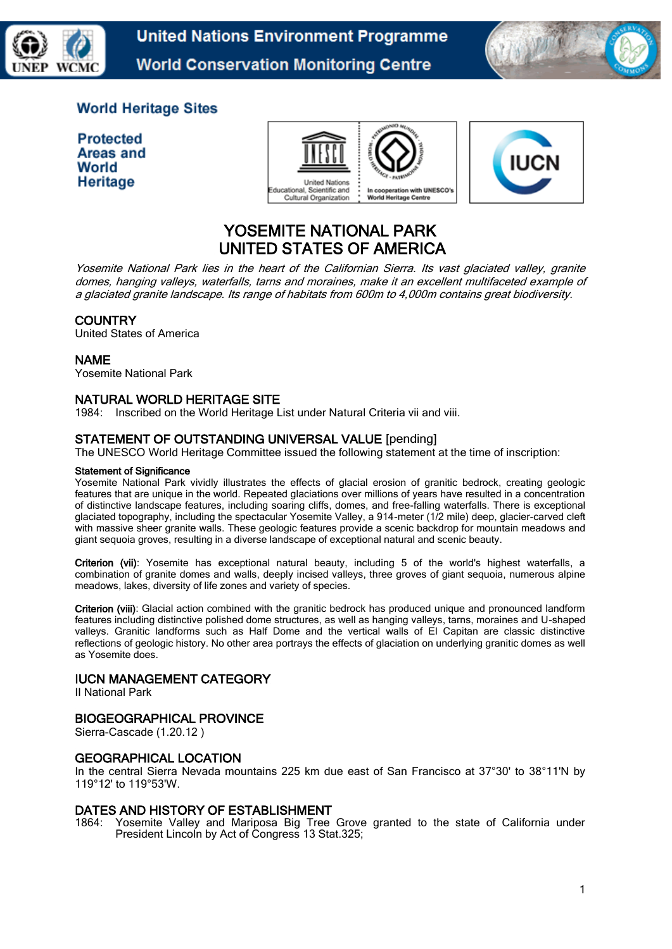

**United Nations Environment Programme World Conservation Monitoring Centre** 



# **World Heritage Sites**

| <b>Protected</b> |
|------------------|
| Areas and        |
| World            |
| Heritage         |





# YOSEMITE NATIONAL PARK UNITED STATES OF AMERICA

Yosemite National Park lies in the heart of the Californian Sierra. Its vast glaciated valley, granite domes, hanging valleys, waterfalls, tarns and moraines, make it an excellent multifaceted example of a glaciated granite landscape. Its range of habitats from 600m to 4,000m contains great biodiversity.

# **COUNTRY**

United States of America

#### NAME

Yosemite National Park

# NATURAL WORLD HERITAGE SITE

1984: Inscribed on the World Heritage List under Natural Criteria vii and viii.

# STATEMENT OF OUTSTANDING UNIVERSAL VALUE [pending]

The UNESCO World Heritage Committee issued the following statement at the time of inscription:

#### Statement of Significance

Yosemite National Park vividly illustrates the effects of glacial erosion of granitic bedrock, creating geologic features that are unique in the world. Repeated glaciations over millions of years have resulted in a concentration of distinctive landscape features, including soaring cliffs, domes, and free-falling waterfalls. There is exceptional glaciated topography, including the spectacular Yosemite Valley, a 914-meter (1/2 mile) deep, glacier-carved cleft with massive sheer granite walls. These geologic features provide a scenic backdrop for mountain meadows and giant sequoia groves, resulting in a diverse landscape of exceptional natural and scenic beauty.

Criterion (vii): Yosemite has exceptional natural beauty, including 5 of the world's highest waterfalls, a combination of granite domes and walls, deeply incised valleys, three groves of giant sequoia, numerous alpine meadows, lakes, diversity of life zones and variety of species.

Criterion (viii): Glacial action combined with the granitic bedrock has produced unique and pronounced landform features including distinctive polished dome structures, as well as hanging valleys, tarns, moraines and U-shaped valleys. Granitic landforms such as Half Dome and the vertical walls of El Capitan are classic distinctive reflections of geologic history. No other area portrays the effects of glaciation on underlying granitic domes as well as Yosemite does.

#### IUCN MANAGEMENT CATEGORY

II National Park

# BIOGEOGRAPHICAL PROVINCE

Sierra-Cascade (1.20.12 )

#### GEOGRAPHICAL LOCATION

In the central Sierra Nevada mountains 225 km due east of San Francisco at 37°30' to 38°11'N by 119°12' to 119°53'W.

#### DATES AND HISTORY OF ESTABLISHMENT

1864: Yosemite Valley and Mariposa Big Tree Grove granted to the state of California under President Lincoln by Act of Congress 13 Stat.325;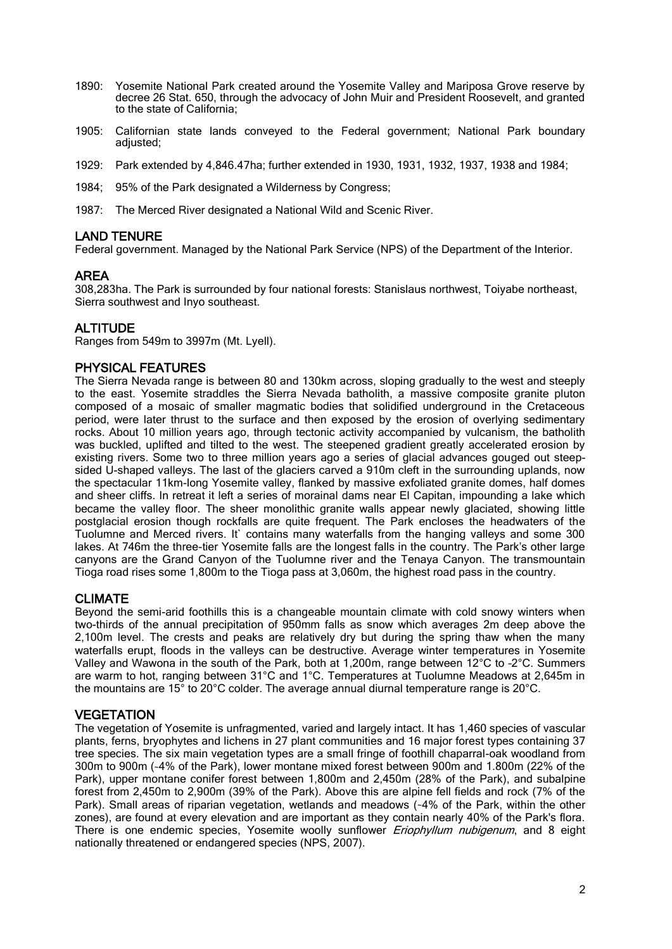- 1890: Yosemite National Park created around the Yosemite Valley and Mariposa Grove reserve by decree 26 Stat. 650, through the advocacy of John Muir and President Roosevelt, and granted to the state of California;
- 1905: Californian state lands conveyed to the Federal government; National Park boundary adjusted;
- 1929: Park extended by 4,846.47ha; further extended in 1930, 1931, 1932, 1937, 1938 and 1984;
- 1984; 95% of the Park designated a Wilderness by Congress;
- 1987: The Merced River designated a National Wild and Scenic River.

#### LAND TENURE

Federal government. Managed by the National Park Service (NPS) of the Department of the Interior.

#### AREA

308,283ha. The Park is surrounded by four national forests: Stanislaus northwest, Toiyabe northeast, Sierra southwest and Inyo southeast.

# **ALTITUDE**

Ranges from 549m to 3997m (Mt. Lyell).

# PHYSICAL FEATURES

The Sierra Nevada range is between 80 and 130km across, sloping gradually to the west and steeply to the east. Yosemite straddles the Sierra Nevada batholith, a massive composite granite pluton composed of a mosaic of smaller magmatic bodies that solidified underground in the Cretaceous period, were later thrust to the surface and then exposed by the erosion of overlying sedimentary rocks. About 10 million years ago, through tectonic activity accompanied by vulcanism, the batholith was buckled, uplifted and tilted to the west. The steepened gradient greatly accelerated erosion by existing rivers. Some two to three million years ago a series of glacial advances gouged out steepsided U-shaped valleys. The last of the glaciers carved a 910m cleft in the surrounding uplands, now the spectacular 11km-long Yosemite valley, flanked by massive exfoliated granite domes, half domes and sheer cliffs. In retreat it left a series of morainal dams near El Capitan, impounding a lake which became the valley floor. The sheer monolithic granite walls appear newly glaciated, showing little postglacial erosion though rockfalls are quite frequent. The Park encloses the headwaters of the Tuolumne and Merced rivers. It` contains many waterfalls from the hanging valleys and some 300 lakes. At 746m the three-tier Yosemite falls are the longest falls in the country. The Park's other large canyons are the Grand Canyon of the Tuolumne river and the Tenaya Canyon. The transmountain Tioga road rises some 1,800m to the Tioga pass at 3,060m, the highest road pass in the country.

#### CLIMATE

Beyond the semi-arid foothills this is a changeable mountain climate with cold snowy winters when two-thirds of the annual precipitation of 950mm falls as snow which averages 2m deep above the 2,100m level. The crests and peaks are relatively dry but during the spring thaw when the many waterfalls erupt, floods in the valleys can be destructive. Average winter temperatures in Yosemite Valley and Wawona in the south of the Park, both at 1,200m, range between 12°C to –2°C. Summers are warm to hot, ranging between 31°C and 1°C. Temperatures at Tuolumne Meadows at 2,645m in the mountains are 15° to 20°C colder. The average annual diurnal temperature range is 20°C.

#### **VEGETATION**

The vegetation of Yosemite is unfragmented, varied and largely intact. It has 1,460 species of vascular plants, ferns, bryophytes and lichens in 27 plant communities and 16 major forest types containing 37 tree species. The six main vegetation types are a small fringe of foothill chaparral-oak woodland from 300m to 900m (~4% of the Park), lower montane mixed forest between 900m and 1.800m (22% of the Park), upper montane conifer forest between 1,800m and 2,450m (28% of the Park), and subalpine forest from 2,450m to 2,900m (39% of the Park). Above this are alpine fell fields and rock (7% of the Park). Small areas of riparian vegetation, wetlands and meadows (~4% of the Park, within the other zones), are found at every elevation and are important as they contain nearly 40% of the Park's flora. There is one endemic species, Yosemite woolly sunflower Eriophyllum nubigenum, and 8 eight nationally threatened or endangered species (NPS, 2007).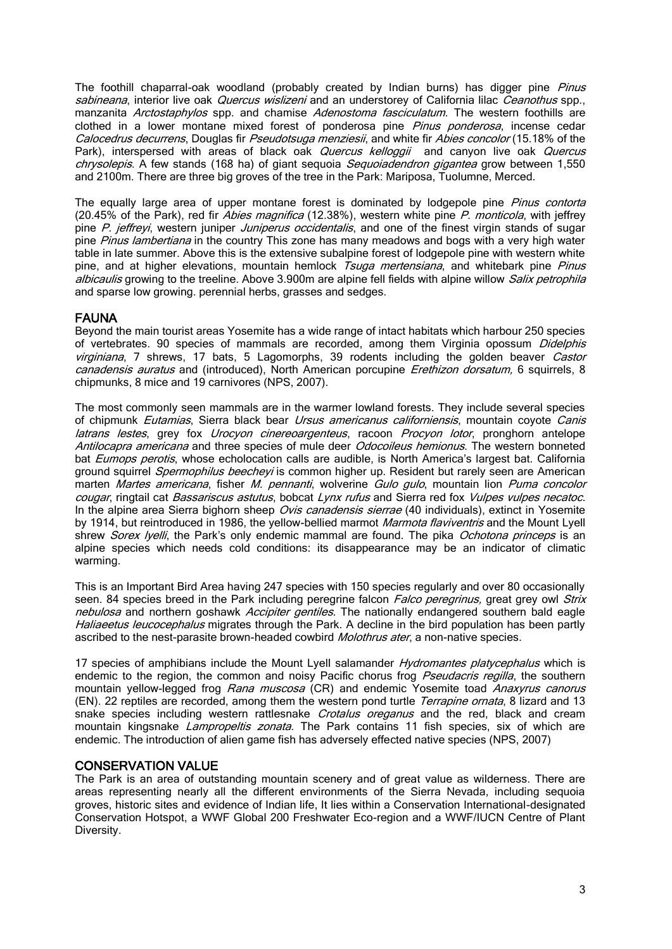The foothill chaparral-oak woodland (probably created by Indian burns) has digger pine Pinus sabineana, interior live oak *Quercus wislizeni* and an understorey of California lilac *Ceanothus* spp., manzanita Arctostaphylos spp. and chamise Adenostoma fasciculatum. The western foothills are clothed in a lower montane mixed forest of ponderosa pine Pinus ponderosa, incense cedar Calocedrus decurrens, Douglas fir *Pseudotsuga menziesii*, and white fir *Abies concolor* (15.18% of the Park), interspersed with areas of black oak *Quercus kelloggii* and canyon live oak *Quercus* chrysolepis. A few stands (168 ha) of giant sequoia *Sequoiadendron gigantea* grow between 1,550 and 2100m. There are three big groves of the tree in the Park: Mariposa, Tuolumne, Merced.

The equally large area of upper montane forest is dominated by lodgepole pine *Pinus contorta* (20.45% of the Park), red fir Abies magnifica (12.38%), western white pine P. monticola, with jeffrey pine P. jeffreyi, western juniper Juniperus occidentalis, and one of the finest virgin stands of sugar pine Pinus lambertiana in the country This zone has many meadows and bogs with a very high water table in late summer. Above this is the extensive subalpine forest of lodgepole pine with western white pine, and at higher elevations, mountain hemlock  $Tsuga$  mertensiana, and whitebark pine Pinus albicaulis growing to the treeline. Above 3.900m are alpine fell fields with alpine willow Salix petrophila and sparse low growing. perennial herbs, grasses and sedges.

# FAUNA

Beyond the main tourist areas Yosemite has a wide range of intact habitats which harbour 250 species of vertebrates. 90 species of mammals are recorded, among them Virginia opossum Didelphis virginiana, 7 shrews, 17 bats, 5 Lagomorphs, 39 rodents including the golden beaver Castor canadensis auratus and (introduced), North American porcupine *Erethizon dorsatum*, 6 squirrels, 8 chipmunks, 8 mice and 19 carnivores (NPS, 2007).

The most commonly seen mammals are in the warmer lowland forests. They include several species of chipmunk *Eutamias*, Sierra black bear *Ursus americanus californiensis*, mountain covote Canis latrans lestes, grey fox Urocyon cinereoargenteus, racoon Procyon lotor, pronghorn antelope Antilocapra americana and three species of mule deer Odocoileus hemionus. The western bonneted bat Eumops perotis, whose echolocation calls are audible, is North America's largest bat. California ground squirrel Spermophilus beecheyi is common higher up. Resident but rarely seen are American marten Martes americana, fisher M. pennanti, wolverine Gulo gulo, mountain lion Puma concolor cougar, ringtail cat Bassariscus astutus, bobcat Lynx rufus and Sierra red fox Vulpes vulpes necatoc. In the alpine area Sierra bighorn sheep Ovis canadensis sierrae (40 individuals), extinct in Yosemite by 1914, but reintroduced in 1986, the yellow-bellied marmot Marmota flaviventris and the Mount Lyell shrew Sorex lyelli, the Park's only endemic mammal are found. The pika Ochotona princeps is an alpine species which needs cold conditions: its disappearance may be an indicator of climatic warming.

This is an Important Bird Area having 247 species with 150 species regularly and over 80 occasionally seen. 84 species breed in the Park including peregrine falcon *Falco peregrinus*, great grey owl Strix nebulosa and northern goshawk Accipiter gentiles. The nationally endangered southern bald eagle Haliaeetus leucocephalus migrates through the Park. A decline in the bird population has been partly ascribed to the nest-parasite brown-headed cowbird *Molothrus ater*, a non-native species.

17 species of amphibians include the Mount Lyell salamander *Hydromantes platycephalus* which is endemic to the region, the common and noisy Pacific chorus frog *Pseudacris regilla*, the southern mountain yellow-legged frog Rana muscosa (CR) and endemic Yosemite toad Anaxyrus canorus (EN). 22 reptiles are recorded, among them the western pond turtle Terrapine ornata, 8 lizard and 13 snake species including western rattlesnake *Crotalus oreganus* and the red, black and cream mountain kingsnake *Lampropeltis zonata*. The Park contains 11 fish species, six of which are endemic. The introduction of alien game fish has adversely effected native species (NPS, 2007)

# CONSERVATION VALUE

The Park is an area of outstanding mountain scenery and of great value as wilderness. There are areas representing nearly all the different environments of the Sierra Nevada, including sequoia groves, historic sites and evidence of Indian life, It lies within a Conservation International-designated Conservation Hotspot, a WWF Global 200 Freshwater Eco-region and a WWF/IUCN Centre of Plant Diversity.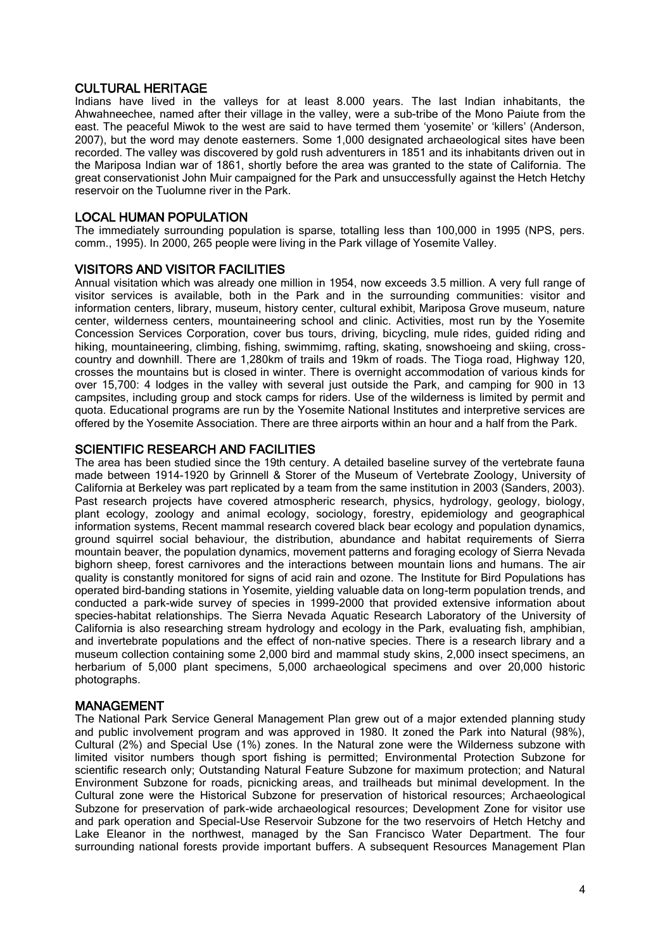#### CULTURAL HERITAGE

Indians have lived in the valleys for at least 8.000 years. The last Indian inhabitants, the Ahwahneechee, named after their village in the valley, were a sub-tribe of the Mono Paiute from the east. The peaceful Miwok to the west are said to have termed them 'yosemite' or 'killers' (Anderson, 2007), but the word may denote easterners. Some 1,000 designated archaeological sites have been recorded. The valley was discovered by gold rush adventurers in 1851 and its inhabitants driven out in the Mariposa Indian war of 1861, shortly before the area was granted to the state of California. The great conservationist John Muir campaigned for the Park and unsuccessfully against the Hetch Hetchy reservoir on the Tuolumne river in the Park.

# LOCAL HUMAN POPULATION

The immediately surrounding population is sparse, totalling less than 100,000 in 1995 (NPS, pers. comm., 1995). In 2000, 265 people were living in the Park village of Yosemite Valley.

#### VISITORS AND VISITOR FACILITIES

Annual visitation which was already one million in 1954, now exceeds 3.5 million. A very full range of visitor services is available, both in the Park and in the surrounding communities: visitor and information centers, library, museum, history center, cultural exhibit, Mariposa Grove museum, nature center, wilderness centers, mountaineering school and clinic. Activities, most run by the Yosemite Concession Services Corporation, cover bus tours, driving, bicycling, mule rides, guided riding and hiking, mountaineering, climbing, fishing, swimmimg, rafting, skating, snowshoeing and skiing, crosscountry and downhill. There are 1,280km of trails and 19km of roads. The Tioga road, Highway 120, crosses the mountains but is closed in winter. There is overnight accommodation of various kinds for over 15,700: 4 lodges in the valley with several just outside the Park, and camping for 900 in 13 campsites, including group and stock camps for riders. Use of the wilderness is limited by permit and quota. Educational programs are run by the Yosemite National Institutes and interpretive services are offered by the Yosemite Association. There are three airports within an hour and a half from the Park.

# SCIENTIFIC RESEARCH AND FACILITIES

The area has been studied since the 19th century. A detailed baseline survey of the vertebrate fauna made between 1914-1920 by Grinnell & Storer of the Museum of Vertebrate Zoology, University of California at Berkeley was part replicated by a team from the same institution in 2003 (Sanders, 2003). Past research projects have covered atmospheric research, physics, hydrology, geology, biology, plant ecology, zoology and animal ecology, sociology, forestry, epidemiology and geographical information systems, Recent mammal research covered black bear ecology and population dynamics, ground squirrel social behaviour, the distribution, abundance and habitat requirements of Sierra mountain beaver, the population dynamics, movement patterns and foraging ecology of Sierra Nevada bighorn sheep, forest carnivores and the interactions between mountain lions and humans. The air quality is constantly monitored for signs of acid rain and ozone. The Institute for Bird Populations has operated bird-banding stations in Yosemite, yielding valuable data on long-term population trends, and conducted a park-wide survey of species in 1999-2000 that provided extensive information about species-habitat relationships. The Sierra Nevada Aquatic Research Laboratory of the University of California is also researching stream hydrology and ecology in the Park, evaluating fish, amphibian, and invertebrate populations and the effect of non-native species. There is a research library and a museum collection containing some 2,000 bird and mammal study skins, 2,000 insect specimens, an herbarium of 5,000 plant specimens, 5,000 archaeological specimens and over 20,000 historic photographs.

#### MANAGEMENT

The National Park Service General Management Plan grew out of a major extended planning study and public involvement program and was approved in 1980. It zoned the Park into Natural (98%), Cultural (2%) and Special Use (1%) zones. In the Natural zone were the Wilderness subzone with limited visitor numbers though sport fishing is permitted; Environmental Protection Subzone for scientific research only; Outstanding Natural Feature Subzone for maximum protection; and Natural Environment Subzone for roads, picnicking areas, and trailheads but minimal development. In the Cultural zone were the Historical Subzone for preservation of historical resources; Archaeological Subzone for preservation of park-wide archaeological resources; Development Zone for visitor use and park operation and Special-Use Reservoir Subzone for the two reservoirs of Hetch Hetchy and Lake Eleanor in the northwest, managed by the San Francisco Water Department. The four surrounding national forests provide important buffers. A subsequent Resources Management Plan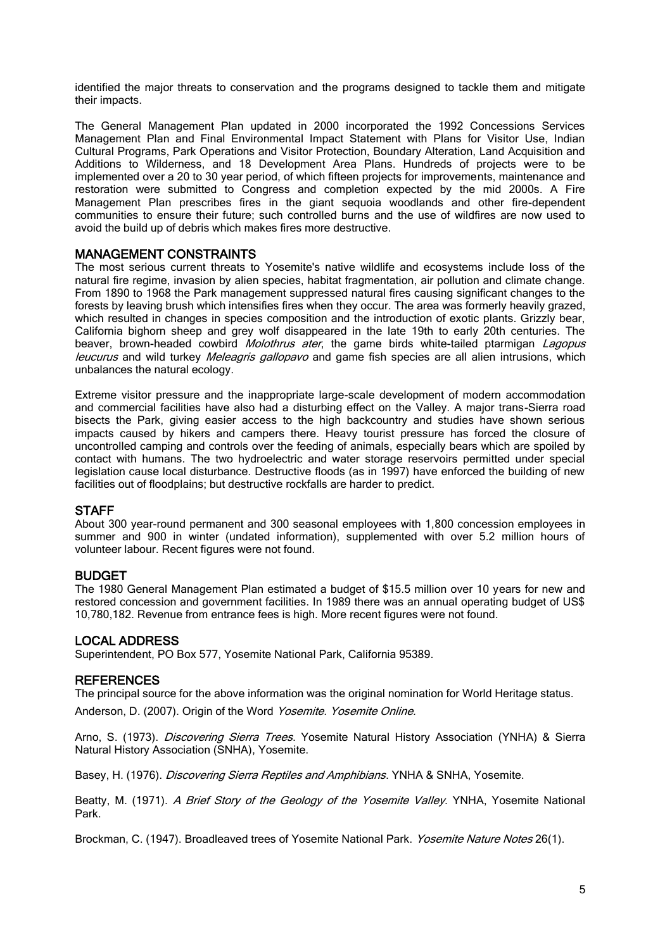identified the major threats to conservation and the programs designed to tackle them and mitigate their impacts.

The General Management Plan updated in 2000 incorporated the 1992 Concessions Services Management Plan and Final Environmental Impact Statement with Plans for Visitor Use, Indian Cultural Programs, Park Operations and Visitor Protection, Boundary Alteration, Land Acquisition and Additions to Wilderness, and 18 Development Area Plans. Hundreds of projects were to be implemented over a 20 to 30 year period, of which fifteen projects for improvements, maintenance and restoration were submitted to Congress and completion expected by the mid 2000s. A Fire Management Plan prescribes fires in the giant sequoia woodlands and other fire-dependent communities to ensure their future; such controlled burns and the use of wildfires are now used to avoid the build up of debris which makes fires more destructive.

# MANAGEMENT CONSTRAINTS

The most serious current threats to Yosemite's native wildlife and ecosystems include loss of the natural fire regime, invasion by alien species, habitat fragmentation, air pollution and climate change. From 1890 to 1968 the Park management suppressed natural fires causing significant changes to the forests by leaving brush which intensifies fires when they occur. The area was formerly heavily grazed, which resulted in changes in species composition and the introduction of exotic plants. Grizzly bear, California bighorn sheep and grey wolf disappeared in the late 19th to early 20th centuries. The beaver, brown-headed cowbird *Molothrus ater*, the game birds white-tailed ptarmigan Lagopus leucurus and wild turkey Meleagris gallopavo and game fish species are all alien intrusions, which unbalances the natural ecology.

Extreme visitor pressure and the inappropriate large-scale development of modern accommodation and commercial facilities have also had a disturbing effect on the Valley. A major trans-Sierra road bisects the Park, giving easier access to the high backcountry and studies have shown serious impacts caused by hikers and campers there. Heavy tourist pressure has forced the closure of uncontrolled camping and controls over the feeding of animals, especially bears which are spoiled by contact with humans. The two hydroelectric and water storage reservoirs permitted under special legislation cause local disturbance. Destructive floods (as in 1997) have enforced the building of new facilities out of floodplains; but destructive rockfalls are harder to predict.

#### **STAFF**

About 300 year-round permanent and 300 seasonal employees with 1,800 concession employees in summer and 900 in winter (undated information), supplemented with over 5.2 million hours of volunteer labour. Recent figures were not found.

#### BUDGET

The 1980 General Management Plan estimated a budget of \$15.5 million over 10 years for new and restored concession and government facilities. In 1989 there was an annual operating budget of US\$ 10,780,182. Revenue from entrance fees is high. More recent figures were not found.

#### LOCAL ADDRESS

Superintendent, PO Box 577, Yosemite National Park, California 95389.

#### **REFERENCES**

The principal source for the above information was the original nomination for World Heritage status.

Anderson, D. (2007). Origin of the Word Yosemite. Yosemite Online.

Arno, S. (1973). *Discovering Sierra Trees.* Yosemite Natural History Association (YNHA) & Sierra Natural History Association (SNHA), Yosemite.

Basey, H. (1976). *Discovering Sierra Reptiles and Amphibians*. YNHA & SNHA, Yosemite.

Beatty, M. (1971). A Brief Story of the Geology of the Yosemite Valley. YNHA, Yosemite National Park.

Brockman, C. (1947). Broadleaved trees of Yosemite National Park. Yosemite Nature Notes 26(1).